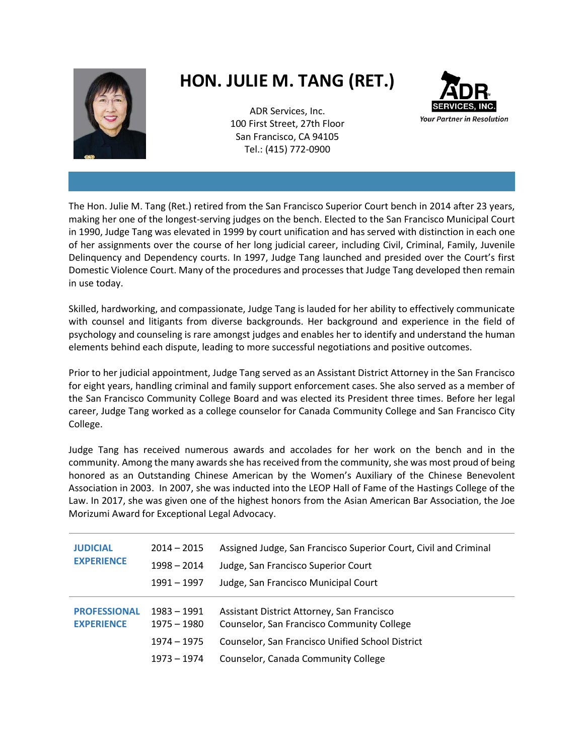

## **HON. JULIE M. TANG (RET.)**

ADR Services, Inc. 100 First Street, 27th Floor San Francisco, CA 94105 Tel.: (415) 772-0900



The Hon. Julie M. Tang (Ret.) retired from the San Francisco Superior Court bench in 2014 after 23 years, making her one of the longest-serving judges on the bench. Elected to the San Francisco Municipal Court in 1990, Judge Tang was elevated in 1999 by court unification and has served with distinction in each one of her assignments over the course of her long judicial career, including Civil, Criminal, Family, Juvenile Delinquency and Dependency courts. In 1997, Judge Tang launched and presided over the Court's first Domestic Violence Court. Many of the procedures and processes that Judge Tang developed then remain in use today.

Skilled, hardworking, and compassionate, Judge Tang is lauded for her ability to effectively communicate with counsel and litigants from diverse backgrounds. Her background and experience in the field of psychology and counseling is rare amongst judges and enables her to identify and understand the human elements behind each dispute, leading to more successful negotiations and positive outcomes.

Prior to her judicial appointment, Judge Tang served as an Assistant District Attorney in the San Francisco for eight years, handling criminal and family support enforcement cases. She also served as a member of the San Francisco Community College Board and was elected its President three times. Before her legal career, Judge Tang worked as a college counselor for Canada Community College and San Francisco City College.

Judge Tang has received numerous awards and accolades for her work on the bench and in the community. Among the many awards she has received from the community, she was most proud of being honored as an Outstanding Chinese American by the Women's Auxiliary of the Chinese Benevolent Association in 2003. In 2007, she was inducted into the LEOP Hall of Fame of the Hastings College of the Law. In 2017, she was given one of the highest honors from the Asian American Bar Association, the Joe Morizumi Award for Exceptional Legal Advocacy.

| <b>JUDICIAL</b><br><b>EXPERIENCE</b>     | $2014 - 2015$<br>$1998 - 2014$<br>$1991 - 1997$              | Assigned Judge, San Francisco Superior Court, Civil and Criminal<br>Judge, San Francisco Superior Court<br>Judge, San Francisco Municipal Court                                     |
|------------------------------------------|--------------------------------------------------------------|-------------------------------------------------------------------------------------------------------------------------------------------------------------------------------------|
| <b>PROFESSIONAL</b><br><b>EXPERIENCE</b> | $1983 - 1991$<br>$1975 - 1980$<br>1974 - 1975<br>1973 – 1974 | Assistant District Attorney, San Francisco<br>Counselor, San Francisco Community College<br>Counselor, San Francisco Unified School District<br>Counselor, Canada Community College |